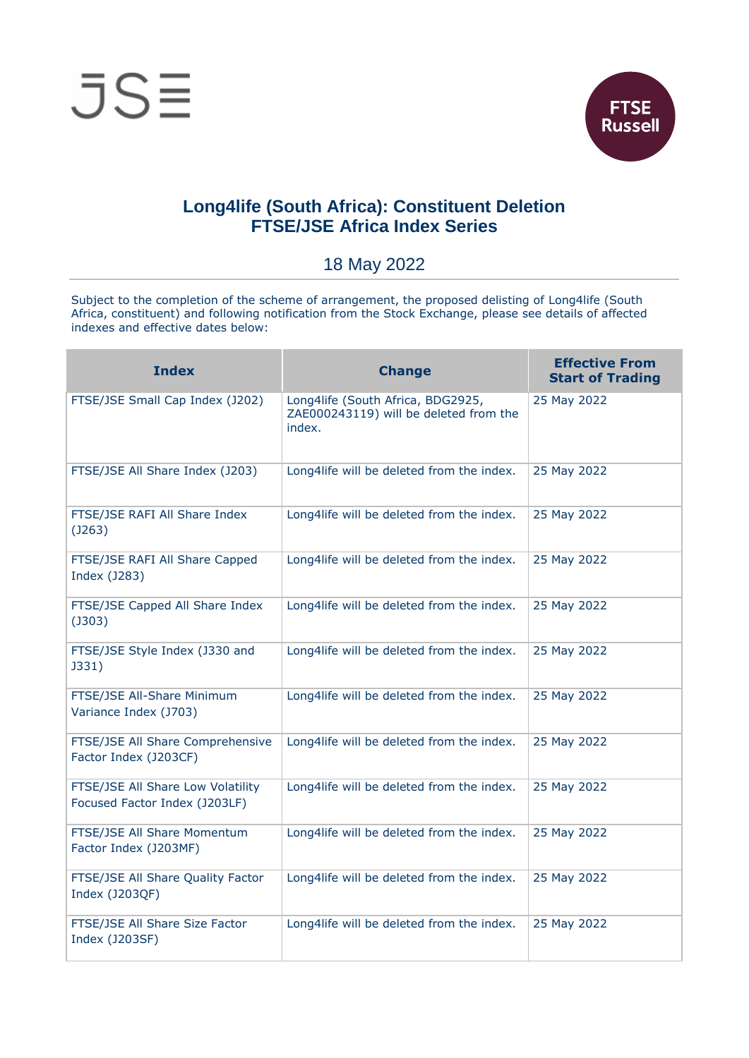



## **Long4life (South Africa): Constituent Deletion FTSE/JSE Africa Index Series**

18 May 2022

Subject to the completion of the scheme of arrangement, the proposed delisting of Long4life (South Africa, constituent) and following notification from the Stock Exchange, please see details of affected indexes and effective dates below:

| <b>Index</b>                                                       | <b>Change</b>                                                                         | <b>Effective From</b><br><b>Start of Trading</b> |
|--------------------------------------------------------------------|---------------------------------------------------------------------------------------|--------------------------------------------------|
| FTSE/JSE Small Cap Index (J202)                                    | Long4life (South Africa, BDG2925,<br>ZAE000243119) will be deleted from the<br>index. | 25 May 2022                                      |
| FTSE/JSE All Share Index (J203)                                    | Long4life will be deleted from the index.                                             | 25 May 2022                                      |
| FTSE/JSE RAFI All Share Index<br>(J263)                            | Long4life will be deleted from the index.                                             | 25 May 2022                                      |
| FTSE/JSE RAFI All Share Capped<br>Index (J283)                     | Long4life will be deleted from the index.                                             | 25 May 2022                                      |
| FTSE/JSE Capped All Share Index<br>$($ J303 $)$                    | Long4life will be deleted from the index.                                             | 25 May 2022                                      |
| FTSE/JSE Style Index (J330 and<br>J331)                            | Long4life will be deleted from the index.                                             | 25 May 2022                                      |
| FTSE/JSE All-Share Minimum<br>Variance Index (J703)                | Long4life will be deleted from the index.                                             | 25 May 2022                                      |
| FTSE/JSE All Share Comprehensive<br>Factor Index (J203CF)          | Long4life will be deleted from the index.                                             | 25 May 2022                                      |
| FTSE/JSE All Share Low Volatility<br>Focused Factor Index (J203LF) | Long4life will be deleted from the index.                                             | 25 May 2022                                      |
| FTSE/JSE All Share Momentum<br>Factor Index (J203MF)               | Long4life will be deleted from the index.                                             | 25 May 2022                                      |
| FTSE/JSE All Share Quality Factor<br>Index (J203QF)                | Long4life will be deleted from the index.                                             | 25 May 2022                                      |
| FTSE/JSE All Share Size Factor<br>Index (J203SF)                   | Long4life will be deleted from the index.                                             | 25 May 2022                                      |